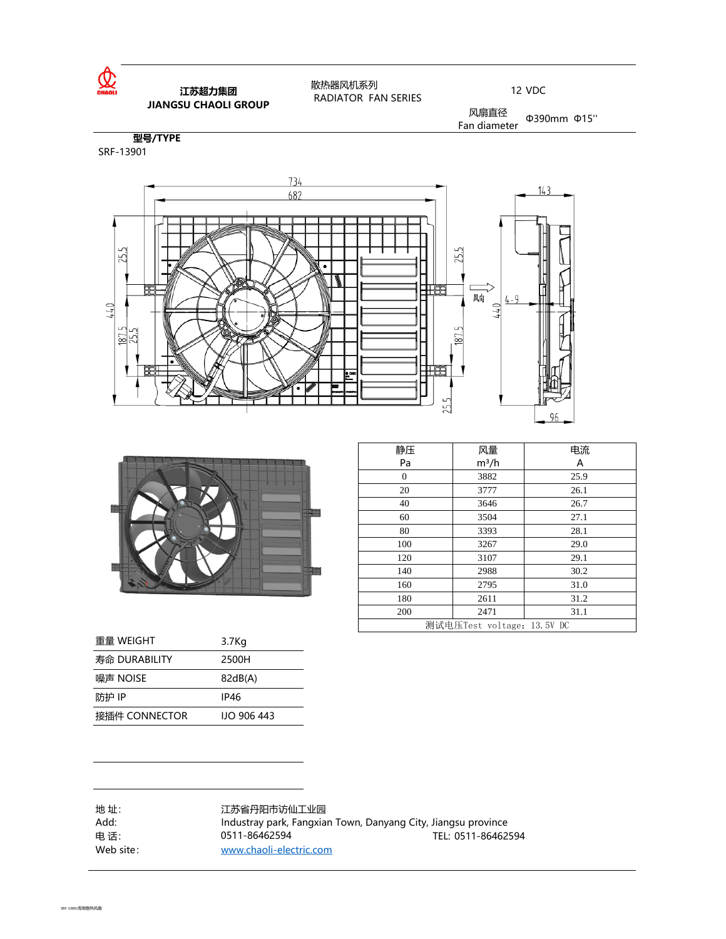

### **江苏超力集团 JIANGSU CHAOLI GROUP**

 散热器风机系列 RADIATOR FAN SERIES

12 VDC

风扇直径  $\frac{100 \text{ m/s}}{200 \text{ mm}}$  (415<sup>ord</sup> Ean diameter

**型号/TYPE** SRF-13901





| 静压                         | 风量      | 电流   |  |
|----------------------------|---------|------|--|
| Pa                         | $m^3/h$ | A    |  |
| 0                          | 3882    | 25.9 |  |
| 20                         | 3777    | 26.1 |  |
| 40                         | 3646    | 26.7 |  |
| 60                         | 3504    | 27.1 |  |
| 80                         | 3393    | 28.1 |  |
| 100                        | 3267    | 29.0 |  |
| 120                        | 3107    | 29.1 |  |
| 140                        | 2988    | 30.2 |  |
| 160                        | 2795    | 31.0 |  |
| 180                        | 2611    | 31.2 |  |
| 200                        | 2471    | 31.1 |  |
| 测试电压Test voltage: 13.5V DC |         |      |  |

| 重量 WEIGHT     | 3.7 <sub>Kg</sub>  |
|---------------|--------------------|
| 寿命 DURABILITY | 2500H              |
| 噪声 NOISE      | 82dB(A)            |
| 防护 IP         | IP46               |
| 接插件 CONNECTOR | <b>IIO 906 443</b> |

地 址: 江苏省丹阳市访仙工业园<br>Add: Industray park, Fangxia Industray park, Fangxian Town, Danyang City, Jiangsu province 电话: 0511-86462594 0511-86462594 Department of the US11-86462594 of the US11-86462594 Web site: [www.chaoli-electric.com](http://www.chaoli-electric.com/) 0511-86462594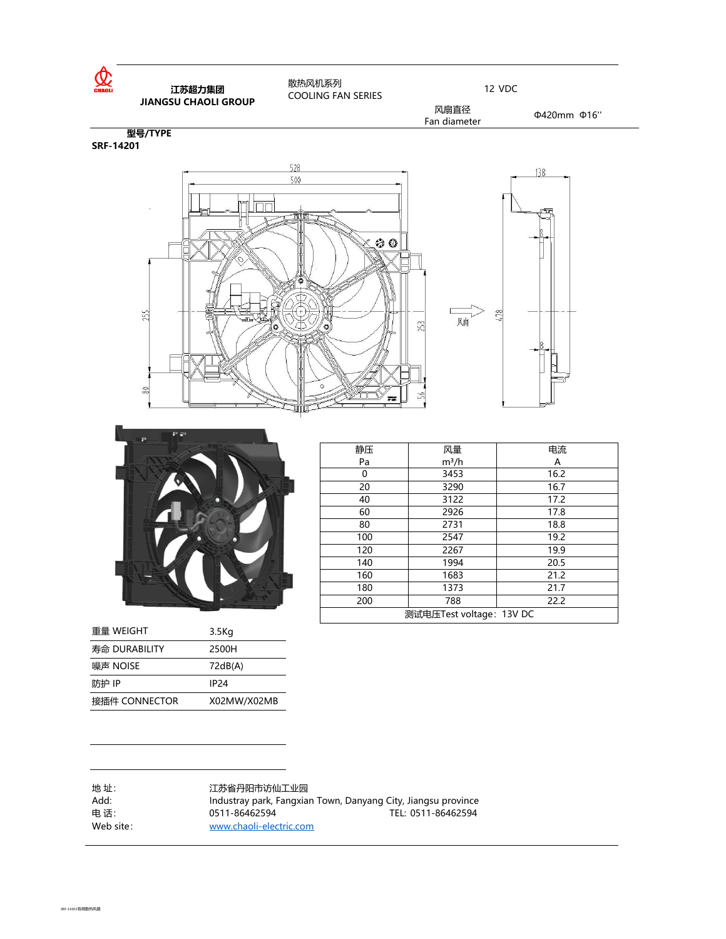



| 重量 WEIGHT     | 3.5Kg       |
|---------------|-------------|
| 寿命 DURABILITY | 2500H       |
| 噪声 NOISE      | 72dB(A)     |
| 防护 IP         | <b>IP24</b> |
| 接插件 CONNECTOR | X02MW/X02MB |
|               |             |

| 静压                       | 风量      | 电流   |
|--------------------------|---------|------|
| Pa                       | $m^3/h$ | A    |
| 0                        | 3453    | 16.2 |
| 20                       | 3290    | 16.7 |
| 40                       | 3122    | 17.2 |
| 60                       | 2926    | 17.8 |
| 80                       | 2731    | 18.8 |
| 100                      | 2547    | 19.2 |
| 120                      | 2267    | 19.9 |
| 140                      | 1994    | 20.5 |
| 160                      | 1683    | 21.2 |
| 180                      | 1373    | 21.7 |
| 200                      | 788     | 22.2 |
| 测试电压Test voltage: 13V DC |         |      |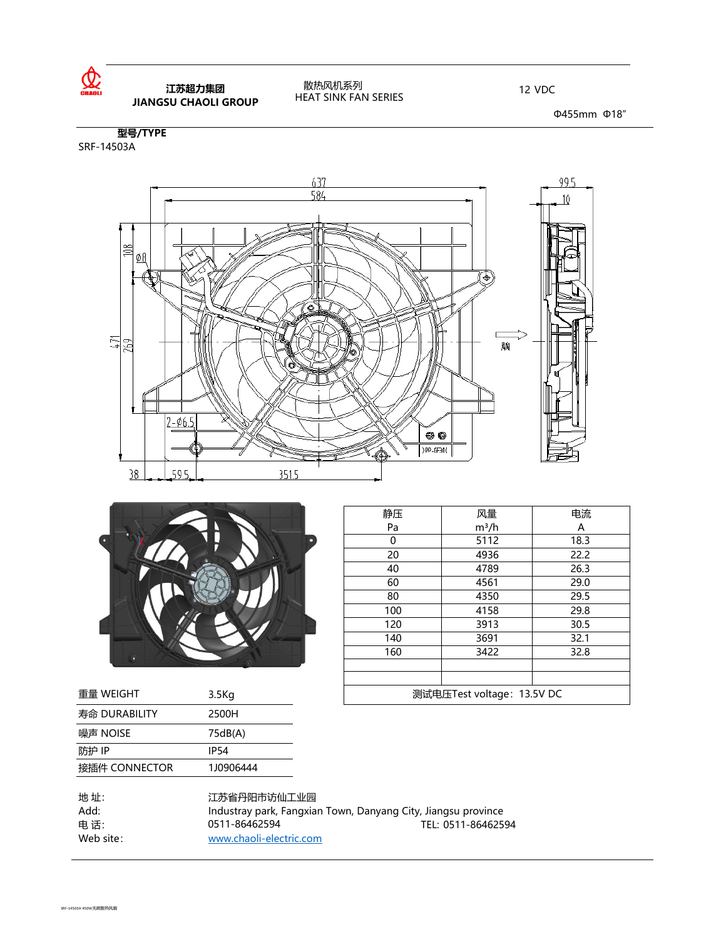

### **江苏超力集团 JIANGSU CHAOLI GROUP**

#### 散热风机系列 HEAT SINK FAN SERIES

12 VDC

Φ455mm Φ18"

SRF-14503A **型号/TYPE**





|           | 静压                | 风量       | 电流                         |      |
|-----------|-------------------|----------|----------------------------|------|
|           | Pa                | $m^3/h$  | Α                          |      |
|           |                   | $\Omega$ | 5112                       | 18.3 |
|           |                   | 20       | 4936                       | 22.2 |
|           |                   | 40       | 4789                       | 26.3 |
|           |                   | 60       | 4561                       | 29.0 |
|           |                   | 80       | 4350                       | 29.5 |
|           | 100               | 4158     | 29.8                       |      |
|           | 120               | 3913     | 30.5                       |      |
|           |                   | 140      | 3691                       | 32.1 |
|           |                   | 160      | 3422                       | 32.8 |
|           |                   |          |                            |      |
|           |                   |          |                            |      |
| 重量 WEIGHT | 3.5 <sub>kg</sub> |          | 测试电压Test voltage: 13.5V DC |      |

| 重量 WEIGHT     | 3.5K <sub>q</sub> |
|---------------|-------------------|
| 寿命 DURABILITY | 2500H             |
| 噪声 NOISE      | 75dB(A)           |
| 防护 IP         | IP <sub>54</sub>  |
| 接插件 CONNECTOR | 1J0906444         |

| 江苏省丹阳市访仙工业园                                                   |                    |
|---------------------------------------------------------------|--------------------|
| Industray park, Fangxian Town, Danyang City, Jiangsu province |                    |
| 0511-86462594                                                 | TEL: 0511-86462594 |
| www.chaoli-electric.com                                       |                    |
|                                                               |                    |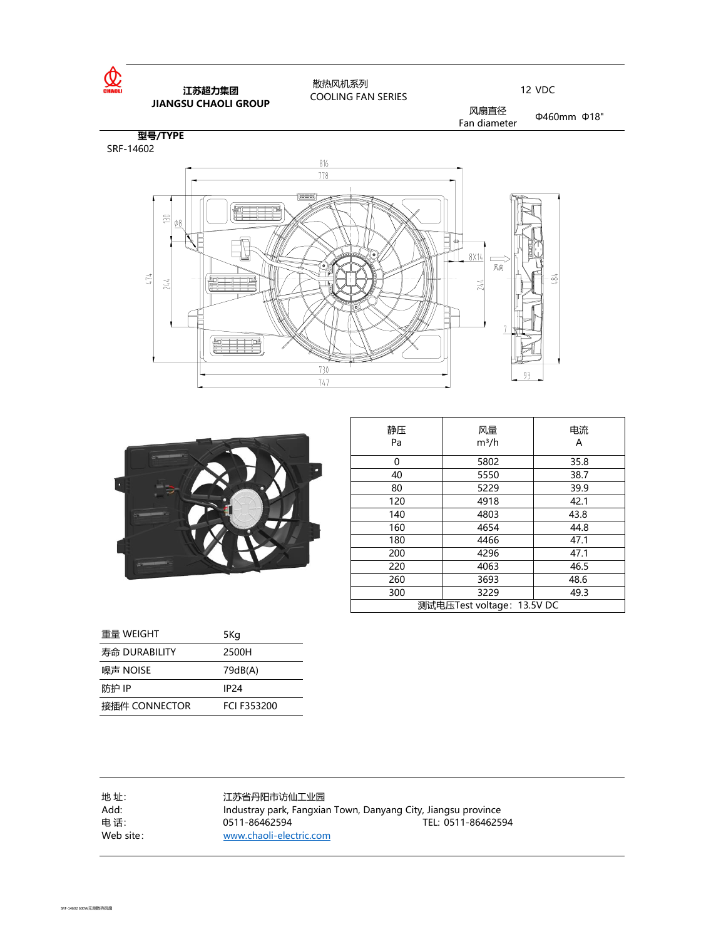

### **江苏超力集团 JIANGSU CHAOLI GROUP**

 散热风机系列 COOLING FAN SERIES

12 VDC

风扇直径 **KWhead diameter** Φ460mm Φ18"

**型号/TYPE** SRF-14602





| 静压<br>Pa                   | 风量<br>$m^3/h$ | 电流<br>А |  |
|----------------------------|---------------|---------|--|
| 0                          | 5802          | 35.8    |  |
| 40                         | 5550          | 38.7    |  |
| 80                         | 5229          | 39.9    |  |
| 120                        | 4918          | 42.1    |  |
| 140                        | 4803          | 43.8    |  |
| 160                        | 4654          | 44.8    |  |
| 180                        | 4466          | 47.1    |  |
| 200                        | 4296          | 47.1    |  |
| 220                        | 4063          | 46.5    |  |
| 260                        | 3693          | 48.6    |  |
| 300                        | 3229          | 49.3    |  |
| 测试电压Test voltage: 13.5V DC |               |         |  |

| 重量 WEIGHT     | 5Kg              |
|---------------|------------------|
| 寿命 DURABILITY | 2500H            |
| 噪声 NOISE      | 79dB(A)          |
| 防护 IP         | IP <sub>24</sub> |
| 接插件 CONNECTOR | FCI F353200      |

| 地址:<br>Add:      | 江苏省丹阳市访仙工业园<br>Industray park, Fangxian Town, Danyang City, Jiangsu province |                    |
|------------------|------------------------------------------------------------------------------|--------------------|
| 电话:<br>Web site: | 0511-86462594<br>www.chaoli-electric.com                                     | TEL: 0511-86462594 |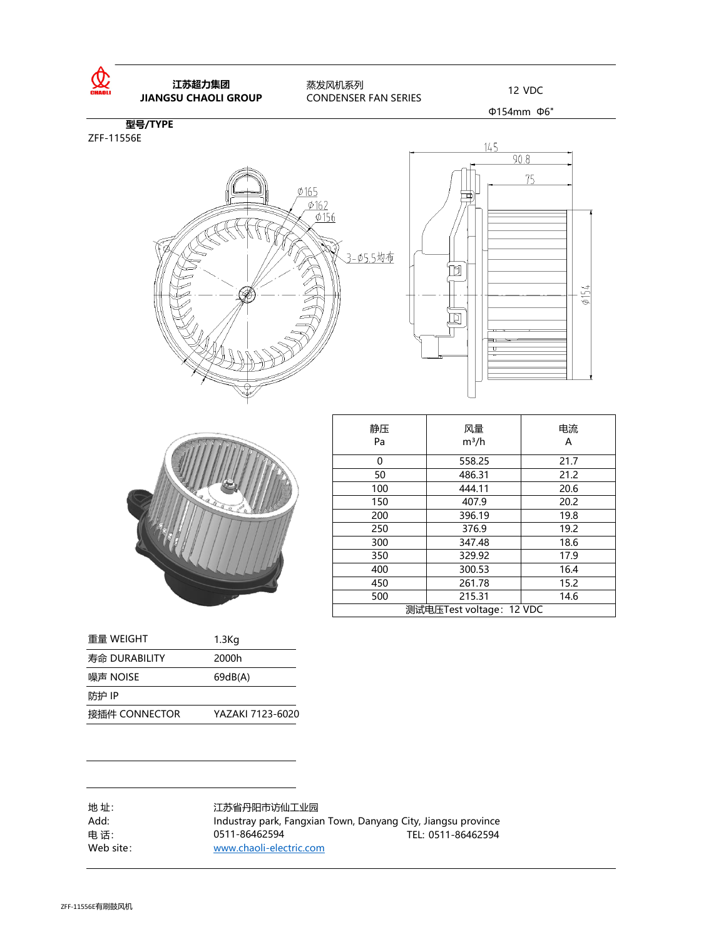

ZFF-11556E







| 静压                       | 风量      | 电流   |
|--------------------------|---------|------|
| Pa                       | $m^3/h$ | A    |
| 0                        | 558.25  | 21.7 |
| 50                       | 486.31  | 21.2 |
| 100                      | 444.11  | 20.6 |
| 150                      | 407.9   | 20.2 |
| 200                      | 396.19  | 19.8 |
| 250                      | 376.9   | 19.2 |
| 300                      | 347.48  | 18.6 |
| 350                      | 329.92  | 17.9 |
| 400                      | 300.53  | 16.4 |
| 450                      | 261.78  | 15.2 |
| 500                      | 215.31  | 14.6 |
| 测试电压Test voltage: 12 VDC |         |      |

| 重量 WEIGHT     | $1.3$ Kg         |
|---------------|------------------|
| 寿命 DURABILITY | 2000h            |
| 噪声 NOISE      | 69dB(A)          |
| 防护 IP         |                  |
| 接插件 CONNECTOR | YAZAKI 7123-6020 |

| 地址:       | 江苏省丹阳市访仙工业园                                                   |                    |
|-----------|---------------------------------------------------------------|--------------------|
| Add:      | Industray park, Fangxian Town, Danyang City, Jiangsu province |                    |
| 电话:       | 0511-86462594                                                 | TEL: 0511-86462594 |
| Web site: | www.chaoli-electric.com                                       |                    |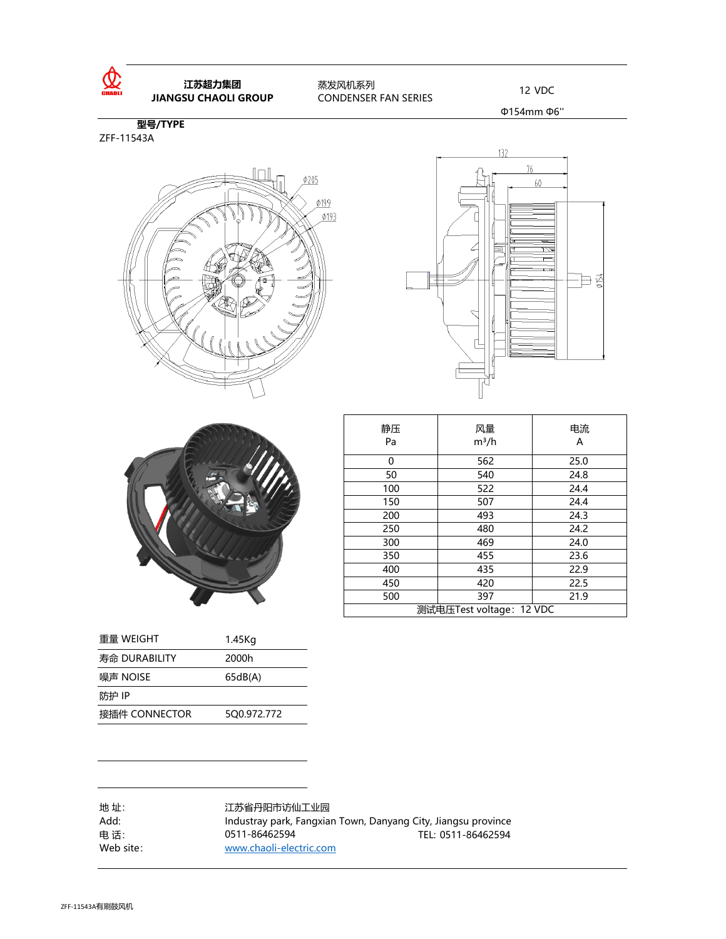

## **江苏超力集团**

 蒸发风机系列 CONDENSER FAN SERIES **IL办起リ耒凶 12 VDC**<br>**JIANGSU CHAOLI GROUP** CONDENSER FAN SERIES 12 VDC

Φ154mm Φ6''

**型号/TYPE** ZFF-11543A







| 静压<br>Pa                | 风量<br>$m^3/h$ | 电流<br>А |
|-------------------------|---------------|---------|
| 0                       | 562           | 25.0    |
| 50                      | 540           | 24.8    |
| 100                     | 522           | 24.4    |
| 150                     | 507           | 24.4    |
| 200                     | 493           | 24.3    |
| 250                     | 480           | 24.2    |
| 300                     | 469           | 24.0    |
| 350                     | 455           | 23.6    |
| 400                     | 435           | 22.9    |
| 450                     | 420           | 22.5    |
| 500                     | 397           | 21.9    |
| 测试电压Test voltage:12 VDC |               |         |

| 重量 WEIGHT     | 1.45Kg      |
|---------------|-------------|
| 寿命 DURABILITY | 2000h       |
| 噪声 NOISE      | 65dB(A)     |
| 防护 IP         |             |
| 接插件 CONNECTOR | 500.972.772 |

地 址: 江苏省丹阳市访仙工业园 Add: Industray park, Fangxian Town, Danyang City, Jiangsu province 电话: 0511-86462594 TEL: 0511-86462594 Web site: [www.chaoli-electric.com](http://www.chaoli-electric.com/) 0511-86462594